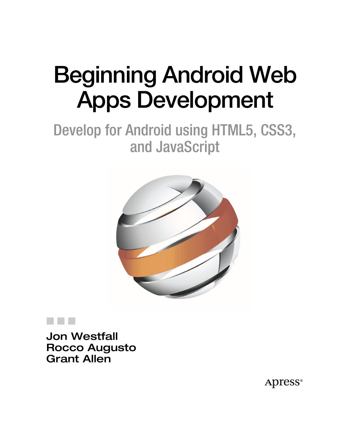# **Beginning Android Web Apps Development**

### Develop for Android using HTML5, CSS3, and JavaScript





Jon Westfall Rocco Augusto Grant Allen

Apress®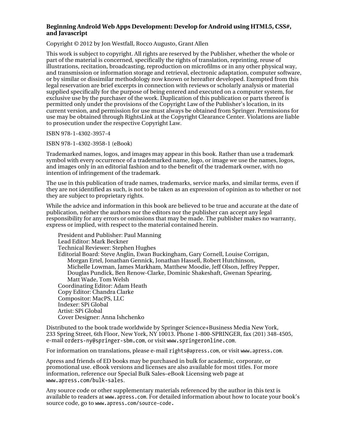#### **Beginning Android Web Apps Development: Develop for Android using HTML5, CSS#, and Javascript**

Copyright © 2012 by Jon Westfall, Rocco Augusto, Grant Allen

This work is subject to copyright. All rights are reserved by the Publisher, whether the whole or part of the material is concerned, specifically the rights of translation, reprinting, reuse of illustrations, recitation, broadcasting, reproduction on microfilms or in any other physical way, and transmission or information storage and retrieval, electronic adaptation, computer software, or by similar or dissimilar methodology now known or hereafter developed. Exempted from this legal reservation are brief excerpts in connection with reviews or scholarly analysis or material supplied specifically for the purpose of being entered and executed on a computer system, for exclusive use by the purchaser of the work. Duplication of this publication or parts thereof is permitted only under the provisions of the Copyright Law of the Publisher's location, in its current version, and permission for use must always be obtained from Springer. Permissions for use may be obtained through RightsLink at the Copyright Clearance Center. Violations are liable to prosecution under the respective Copyright Law.

ISBN 978-1-4302-3957-4

ISBN 978-1-4302-3958-1 (eBook)

Trademarked names, logos, and images may appear in this book. Rather than use a trademark symbol with every occurrence of a trademarked name, logo, or image we use the names, logos, and images only in an editorial fashion and to the benefit of the trademark owner, with no intention of infringement of the trademark.

The use in this publication of trade names, trademarks, service marks, and similar terms, even if they are not identified as such, is not to be taken as an expression of opinion as to whether or not they are subject to proprietary rights.

While the advice and information in this book are believed to be true and accurate at the date of publication, neither the authors nor the editors nor the publisher can accept any legal responsibility for any errors or omissions that may be made. The publisher makes no warranty, express or implied, with respect to the material contained herein.

President and Publisher: Paul Manning Lead Editor: Mark Beckner Technical Reviewer: Stephen Hughes Editorial Board: Steve Anglin, Ewan Buckingham, Gary Cornell, Louise Corrigan, Morgan Ertel, Jonathan Gennick, Jonathan Hassell, Robert Hutchinson, Michelle Lowman, James Markham, Matthew Moodie, Jeff Olson, Jeffrey Pepper, Douglas Pundick, Ben Renow-Clarke, Dominic Shakeshaft, Gwenan Spearing, Matt Wade, Tom Welsh Coordinating Editor: Adam Heath Copy Editor: Chandra Clarke Compositor: MacPS, LLC Indexer: SPi Global Artist: SPi Global Cover Designer: Anna Ishchenko

Distributed to the book trade worldwide by Springer Science+Business Media New York, 233 Spring Street, 6th Floor, New York, NY 10013. Phone 1-800-SPRINGER, fax (201) 348-4505, e-mail orders-ny@springer-sbm.com, or visit www.springeronline.com.

For information on translations, please e-mail rights@apress.com, or visit www.apress.com.

Apress and friends of ED books may be purchased in bulk for academic, corporate, or promotional use. eBook versions and licenses are also available for most titles. For more information, reference our Special Bulk Sales–eBook Licensing web page at www.apress.com/bulk-sales.

Any source code or other supplementary materials referenced by the author in this text is available to readers at www.apress.com. For detailed information about how to locate your book's source code, go to www.apress.com/source-code.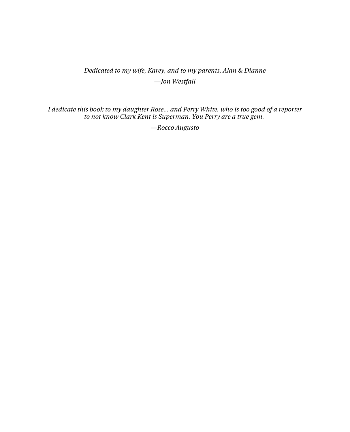#### *Dedicated to my wife, Karey, and to my parents, Alan & Dianne —Jon Westfall*

*I dedicate this book to my daughter Rose... and Perry White, who is too good of a reporter to not know Clark Kent is Superman. You Perry are a true gem.* 

*—Rocco Augusto*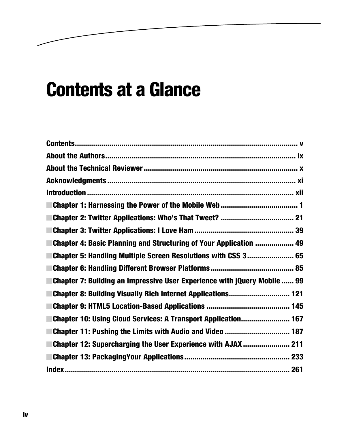### **Contents at a Glance**

| <b>Chapter 4: Basic Planning and Structuring of Your Application  49</b> |
|--------------------------------------------------------------------------|
| Chapter 5: Handling Multiple Screen Resolutions with CSS 3 65            |
|                                                                          |
| Chapter 7: Building an Impressive User Experience with jQuery Mobile  99 |
| Chapter 8: Building Visually Rich Internet Applications 121              |
|                                                                          |
| Chapter 10: Using Cloud Services: A Transport Application 167            |
| Chapter 11: Pushing the Limits with Audio and Video  187                 |
| Chapter 12: Supercharging the User Experience with AJAX  211             |
|                                                                          |
|                                                                          |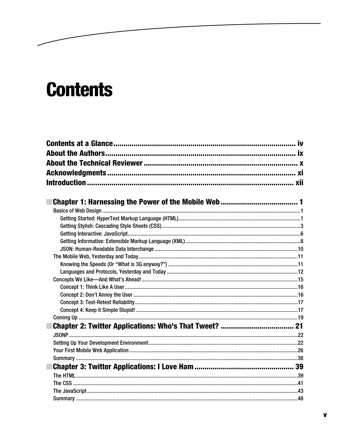### **Contents**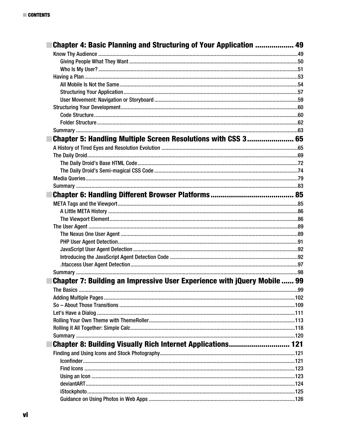| <b>Chapter 4: Basic Planning and Structuring of Your Application  49</b> |  |
|--------------------------------------------------------------------------|--|
|                                                                          |  |
|                                                                          |  |
|                                                                          |  |
|                                                                          |  |
|                                                                          |  |
|                                                                          |  |
|                                                                          |  |
|                                                                          |  |
|                                                                          |  |
|                                                                          |  |
|                                                                          |  |
| Chapter 5: Handling Multiple Screen Resolutions with CSS 3 65            |  |
|                                                                          |  |
|                                                                          |  |
|                                                                          |  |
|                                                                          |  |
|                                                                          |  |
|                                                                          |  |
|                                                                          |  |
|                                                                          |  |
|                                                                          |  |
|                                                                          |  |
|                                                                          |  |
|                                                                          |  |
|                                                                          |  |
|                                                                          |  |
|                                                                          |  |
|                                                                          |  |
|                                                                          |  |
| Chapter 7: Building an Impressive User Experience with jQuery Mobile  99 |  |
|                                                                          |  |
|                                                                          |  |
|                                                                          |  |
|                                                                          |  |
|                                                                          |  |
|                                                                          |  |
|                                                                          |  |
| Chapter 8: Building Visually Rich Internet Applications 121              |  |
|                                                                          |  |
|                                                                          |  |
|                                                                          |  |
|                                                                          |  |
|                                                                          |  |
|                                                                          |  |
|                                                                          |  |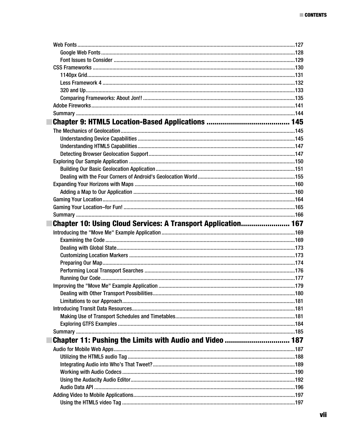| Chapter 10: Using Cloud Services: A Transport Application 167 |  |
|---------------------------------------------------------------|--|
|                                                               |  |
|                                                               |  |
|                                                               |  |
|                                                               |  |
|                                                               |  |
|                                                               |  |
|                                                               |  |
|                                                               |  |
|                                                               |  |
|                                                               |  |
|                                                               |  |
|                                                               |  |
|                                                               |  |
|                                                               |  |
|                                                               |  |
| Chapter 11: Pushing the Limits with Audio and Video  187      |  |
|                                                               |  |
|                                                               |  |
|                                                               |  |
|                                                               |  |
|                                                               |  |
|                                                               |  |
|                                                               |  |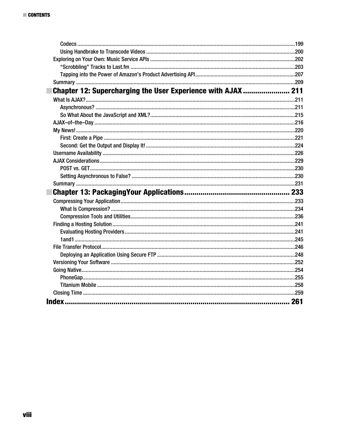| Chapter 12: Supercharging the User Experience with AJAX  211 |  |
|--------------------------------------------------------------|--|
|                                                              |  |
|                                                              |  |
|                                                              |  |
|                                                              |  |
|                                                              |  |
|                                                              |  |
|                                                              |  |
|                                                              |  |
|                                                              |  |
|                                                              |  |
|                                                              |  |
|                                                              |  |
|                                                              |  |
|                                                              |  |
|                                                              |  |
|                                                              |  |
|                                                              |  |
|                                                              |  |
|                                                              |  |
|                                                              |  |
|                                                              |  |
|                                                              |  |
|                                                              |  |
|                                                              |  |
|                                                              |  |
|                                                              |  |
|                                                              |  |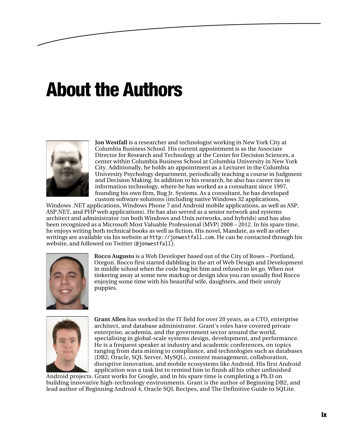### **About the Authors**



**Jon Westfall** is a researcher and technologist working in New York City at Columbia Business School. His current appointment is as the Associate Director for Research and Technology at the Center for Decision Sciences, a center within Columbia Business School at Columbia University in New York City. Additionally, he holds an appointment as a Lecturer in the Columbia University Psychology department, periodically teaching a course in Judgment and Decision Making. In addition to his research, he also has career ties in information technology, where he has worked as a consultant since 1997, founding his own firm, Bug Jr. Systems. As a consultant, he has developed custom software solutions (including native Windows 32 applications,

Windows .NET applications, Windows Phone 7 and Android mobile applications, as well as ASP, ASP.NET, and PHP web applications). He has also served as a senior network and systems architect and administrator (on both Windows and Unix networks, and hybrids) and has also been recognized as a Microsoft Most Valuable Professional (MVP) 2008 – 2012. In his spare time, he enjoys writing both technical books as well as fiction. His novel, Mandate, as well as other writings are available via his website at http://jonwestfall.com. He can be contacted through his website, and followed on Twitter (@jonwestfall).



**Rocco Augusto** is a Web Developer based out of the City of Roses – Portland, Oregon. Rocco first started dabbling in the art of Web Design and Development in middle school when the code bug bit him and refused to let go. When not tinkering away at some new markup or design idea you can usually find Rocco enjoying some time with his beautiful wife, daughters, and their unruly puppies.



**Grant Allen** has worked in the IT field for over 20 years, as a CTO, enterprise architect, and database administrator. Grant's roles have covered private enterprise, academia, and the government sector around the world, specialising in global-scale systems design, development, and performance. He is a frequent speaker at industry and academic conferences, on topics ranging from data mining to compliance, and technologies such as databases (DB2, Oracle, SQL Server, MySQL), content management, collaboration, disruptive innovation, and mobile ecosystems like Android. His first Android application was a task list to remind him to finish all his other unfinished

Android projects. Grant works for Google, and in his spare time is completing a Ph.D on building innovative high-technology environments. Grant is the author of Beginning DB2, and lead author of Beginning Android 4, Oracle SQL Recipes, and The Definitive Guide to SQLite.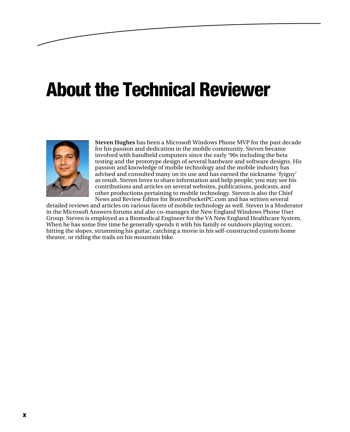## **About the Technical Reviewer**



**Steven Hughes** has been a Microsoft Windows Phone MVP for the past decade for his passion and dedication in the mobile community. Steven became involved with handheld computers since the early '90s including the beta testing and the prototype design of several hardware and software designs. His passion and knowledge of mobile technology and the mobile industry has advised and consulted many on its use and has earned the nickname 'fyiguy' as result. Steven loves to share information and help people; you may see his contributions and articles on several websites, publications, podcasts, and other productions pertaining to mobile technology. Steven is also the Chief News and Review Editor for BostonPocketPC.com and has written several

detailed reviews and articles on various facets of mobile technology as well. Steven is a Moderator in the Microsoft Answers forums and also co-manages the New England Windows Phone User Group. Steven is employed as a Biomedical Engineer for the VA New England Healthcare System. When he has some free time he generally spends it with his family or outdoors playing soccer, hitting the slopes, strumming his guitar, catching a movie in his self-constructed custom home theater, or riding the trails on his mountain bike.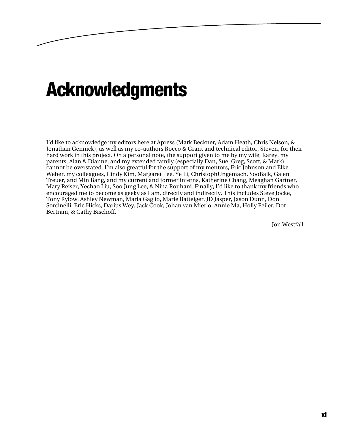### **Acknowledgments**

I'd like to acknowledge my editors here at Apress (Mark Beckner, Adam Heath, Chris Nelson, & Jonathan Gennick), as well as my co-authors Rocco & Grant and technical editor, Steven, for their hard work in this project. On a personal note, the support given to me by my wife, Karey, my parents, Alan & Dianne, and my extended family (especially Dan, Sue, Greg, Scott, & Mark) cannot be overstated. I'm also greatful for the support of my mentors, Eric Johnson and Elke Weber, my colleagues, Cindy Kim, Margaret Lee, Ye Li, ChristophUngemach, SooBaik, Galen Treuer, and Min Bang, and my current and former interns, Katherine Chang, Meaghan Gartner, Mary Reiser, Yechao Liu, Soo Jung Lee, & Nina Rouhani. Finally, I'd like to thank my friends who encouraged me to become as geeky as I am, directly and indirectly. This includes Steve Jocke, Tony Rylow, Ashley Newman, Maria Gaglio, Marie Batteiger, JD Jasper, Jason Dunn, Don Sorcinelli, Eric Hicks, Darius Wey, Jack Cook, Johan van Mierlo, Annie Ma, Holly Feiler, Dot Bertram, & Cathy Bischoff.

—Jon Westfall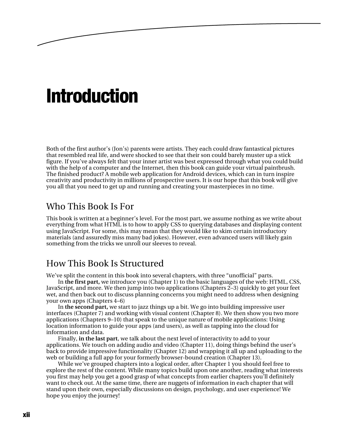### **Introduction**

Both of the first author's (Jon's) parents were artists. They each could draw fantastical pictures that resembled real life, and were shocked to see that their son could barely muster up a stick figure. If you've always felt that your inner artist was best expressed through what you could build with the help of a computer and the Internet, then this book can guide your virtual paintbrush. The finished product? A mobile web application for Android devices, which can in turn inspire creativity and productivity in millions of prospective users. It is our hope that this book will give you all that you need to get up and running and creating your masterpieces in no time.

#### Who This Book Is For

This book is written at a beginner's level. For the most part, we assume nothing as we write about everything from what HTML is to how to apply CSS to querying databases and displaying content using JavaScript. For some, this may mean that they would like to skim certain introductory materials (and assuredly miss many bad jokes). However, even advanced users will likely gain something from the tricks we unroll our sleeves to reveal.

#### How This Book Is Structured

We've split the content in this book into several chapters, with three "unofficial" parts.

In **the first part,** we introduce you (Chapter 1) to the basic languages of the web: HTML, CSS, JavaScript, and more. We then jump into two applications (Chapters 2–3) quickly to get your feet wet, and then back out to discuss planning concerns you might need to address when designing your own apps (Chapters 4–6)

In **the second part,** we start to jazz things up a bit. We go into building impressive user interfaces (Chapter 7) and working with visual content (Chapter 8). We then show you two more applications (Chapters 9–10) that speak to the unique nature of mobile applications: Using location information to guide your apps (and users), as well as tapping into the cloud for information and data.

Finally, **in the last part**, we talk about the next level of interactivity to add to your applications. We touch on adding audio and video (Chapter 11), doing things behind the user's back to provide impressive functionality (Chapter 12) and wrapping it all up and uploading to the web or building a full app for your formerly browser-bound creation (Chapter 13).

While we've grouped chapters into a logical order, after Chapter 1 you should feel free to explore the rest of the content. While many topics build upon one another, reading what interests you first may help you get a good grasp of what concepts from earlier chapters you'll definitely want to check out. At the same time, there are nuggets of information in each chapter that will stand upon their own, especially discussions on design, psychology, and user experience! We hope you enjoy the journey!